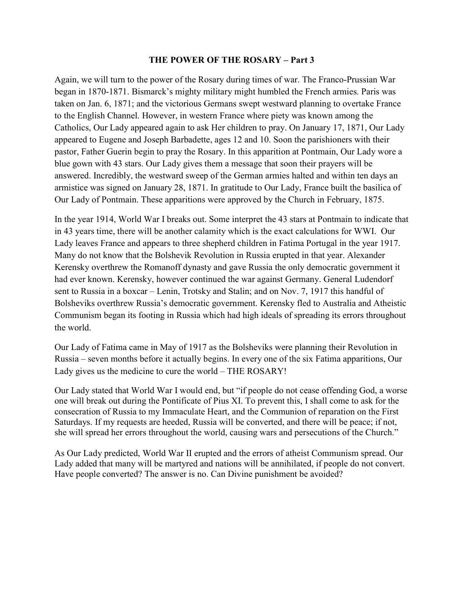## THE POWER OF THE ROSARY – Part 3

Again, we will turn to the power of the Rosary during times of war. The Franco-Prussian War began in 1870-1871. Bismarck's mighty military might humbled the French armies. Paris was taken on Jan. 6, 1871; and the victorious Germans swept westward planning to overtake France to the English Channel. However, in western France where piety was known among the Catholics, Our Lady appeared again to ask Her children to pray. On January 17, 1871, Our Lady appeared to Eugene and Joseph Barbadette, ages 12 and 10. Soon the parishioners with their pastor, Father Guerin begin to pray the Rosary. In this apparition at Pontmain, Our Lady wore a blue gown with 43 stars. Our Lady gives them a message that soon their prayers will be answered. Incredibly, the westward sweep of the German armies halted and within ten days an armistice was signed on January 28, 1871. In gratitude to Our Lady, France built the basilica of Our Lady of Pontmain. These apparitions were approved by the Church in February, 1875.

In the year 1914, World War I breaks out. Some interpret the 43 stars at Pontmain to indicate that in 43 years time, there will be another calamity which is the exact calculations for WWI. Our Lady leaves France and appears to three shepherd children in Fatima Portugal in the year 1917. Many do not know that the Bolshevik Revolution in Russia erupted in that year. Alexander Kerensky overthrew the Romanoff dynasty and gave Russia the only democratic government it had ever known. Kerensky, however continued the war against Germany. General Ludendorf sent to Russia in a boxcar – Lenin, Trotsky and Stalin; and on Nov. 7, 1917 this handful of Bolsheviks overthrew Russia's democratic government. Kerensky fled to Australia and Atheistic Communism began its footing in Russia which had high ideals of spreading its errors throughout the world.

Our Lady of Fatima came in May of 1917 as the Bolsheviks were planning their Revolution in Russia – seven months before it actually begins. In every one of the six Fatima apparitions, Our Lady gives us the medicine to cure the world – THE ROSARY!

Our Lady stated that World War I would end, but "if people do not cease offending God, a worse one will break out during the Pontificate of Pius XI. To prevent this, I shall come to ask for the consecration of Russia to my Immaculate Heart, and the Communion of reparation on the First Saturdays. If my requests are heeded, Russia will be converted, and there will be peace; if not, she will spread her errors throughout the world, causing wars and persecutions of the Church."

As Our Lady predicted, World War II erupted and the errors of atheist Communism spread. Our Lady added that many will be martyred and nations will be annihilated, if people do not convert. Have people converted? The answer is no. Can Divine punishment be avoided?